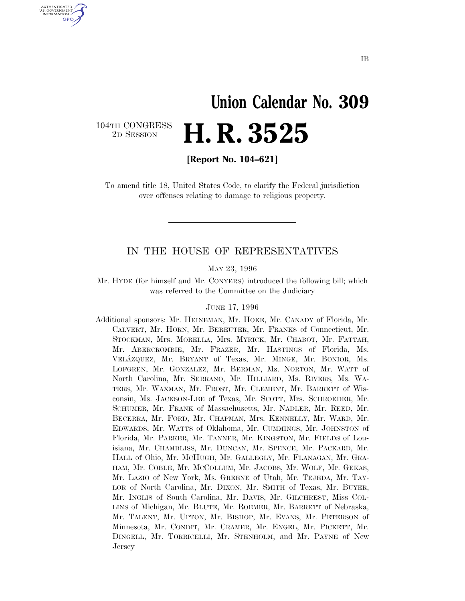## **Union Calendar No. 309** 2D SESSION **H. R. 3525**

104TH CONGRESS<br>2D SESSION

U.S. GOVERNMENT **GPO** 

**[Report No. 104–621]**

To amend title 18, United States Code, to clarify the Federal jurisdiction over offenses relating to damage to religious property.

#### IN THE HOUSE OF REPRESENTATIVES

MAY 23, 1996

Mr. HYDE (for himself and Mr. CONYERS) introduced the following bill; which was referred to the Committee on the Judiciary

#### JUNE 17, 1996

Additional sponsors: Mr. HEINEMAN, Mr. HOKE, Mr. CANADY of Florida, Mr. CALVERT, Mr. HORN, Mr. BEREUTER, Mr. FRANKS of Connecticut, Mr. STOCKMAN, Mrs. MORELLA, Mrs. MYRICK, Mr. CHABOT, Mr. FATTAH, Mr. ABERCROMBIE, Mr. FRAZER, Mr. HASTINGS of Florida, Ms. VELA´ZQUEZ, Mr. BRYANT of Texas, Mr. MINGE, Mr. BONIOR, Ms. LOFGREN, Mr. GONZALEZ, Mr. BERMAN, Ms. NORTON, Mr. WATT of North Carolina, Mr. SERRANO, Mr. HILLIARD, Ms. RIVERS, Ms. WA-TERS, Mr. WAXMAN, Mr. FROST, Mr. CLEMENT, Mr. BARRETT of Wisconsin, Ms. JACKSON-LEE of Texas, Mr. SCOTT, Mrs. SCHROEDER, Mr. SCHUMER, Mr. FRANK of Massachusetts, Mr. NADLER, Mr. REED, Mr. BECERRA, Mr. FORD, Mr. CHAPMAN, Mrs. KENNELLY, Mr. WARD, Mr. EDWARDS, Mr. WATTS of Oklahoma, Mr. CUMMINGS, Mr. JOHNSTON of Florida, Mr. PARKER, Mr. TANNER, Mr. KINGSTON, Mr. FIELDS of Louisiana, Mr. CHAMBLISS, Mr. DUNCAN, Mr. SPENCE, Mr. PACKARD, Mr. HALL of Ohio, Mr. MCHUGH, Mr. GALLEGLY, Mr. FLANAGAN, Mr. GRA-HAM, Mr. COBLE, Mr. MCCOLLUM, Mr. JACOBS, Mr. WOLF, Mr. GEKAS, Mr. LAZIO of New York, Ms. GREENE of Utah, Mr. TEJEDA, Mr. TAY-LOR of North Carolina, Mr. DIXON, Mr. SMITH of Texas, Mr. BUYER, Mr. INGLIS of South Carolina, Mr. DAVIS, Mr. GILCHREST, Miss COL-LINS of Michigan, Mr. BLUTE, Mr. ROEMER, Mr. BARRETT of Nebraska, Mr. TALENT, Mr. UPTON, Mr. BISHOP, Mr. EVANS, Mr. PETERSON of Minnesota, Mr. CONDIT, Mr. CRAMER, Mr. ENGEL, Mr. PICKETT, Mr. DINGELL, Mr. TORRICELLI, Mr. STENHOLM, and Mr. PAYNE of New Jersey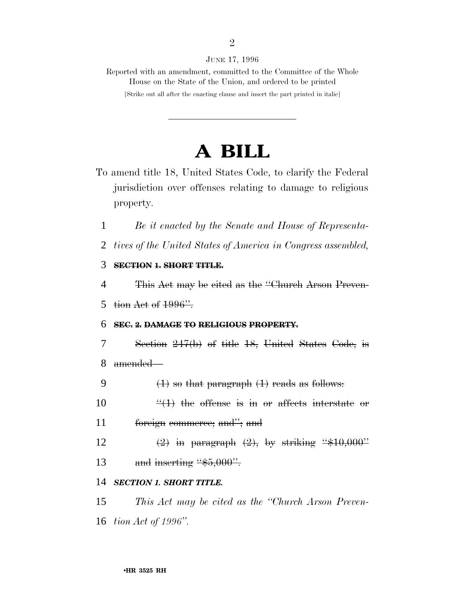JUNE 17, 1996

Reported with an amendment, committed to the Committee of the Whole House on the State of the Union, and ordered to be printed

[Strike out all after the enacting clause and insert the part printed in italic]

### **A BILL**

- To amend title 18, United States Code, to clarify the Federal jurisdiction over offenses relating to damage to religious property.
	- 1 *Be it enacted by the Senate and House of Representa-*

2 *tives of the United States of America in Congress assembled,*

#### 3 **SECTION 1. SHORT TITLE.**

4 This Act may be cited as the ''Church Arson Preven-5 tion Act of  $1996$ ".

#### 6 **SEC. 2. DAMAGE TO RELIGIOUS PROPERTY.**

- 7 Section 247(b) of title 18, United States Code, is 8 amended—
- 9  $(1)$  so that paragraph  $(1)$  reads as follows:
- 10  $\frac{u(1)}{1}$  the offense is in or affects interstate or 11 foreign commerce; and''; and
- 12  $\left(2\right)$  in paragraph  $\left(2\right)$ , by striking "\$10,000" 13 and inserting " $\frac{45,000}{ }$ ".

#### 14 *SECTION 1. SHORT TITLE.*

15 *This Act may be cited as the ''Church Arson Preven-*16 *tion Act of 1996''.*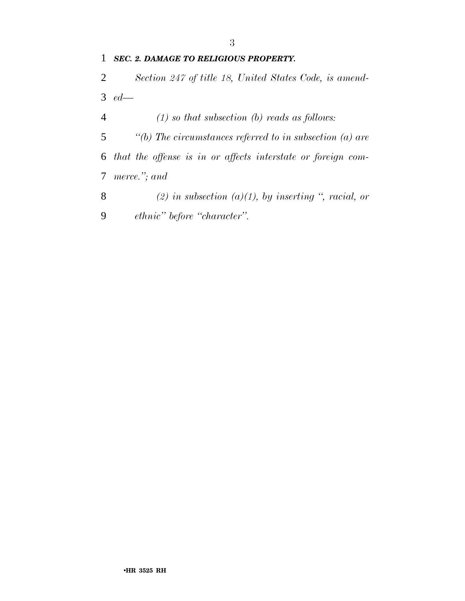*SEC. 2. DAMAGE TO RELIGIOUS PROPERTY.*

 *Section 247 of title 18, United States Code, is amend-ed—*

*(1) so that subsection (b) reads as follows:*

 *''(b) The circumstances referred to in subsection (a) are that the offense is in or affects interstate or foreign com-merce.''; and*

 *(2) in subsection (a)(1), by inserting '', racial, or ethnic'' before ''character''.*